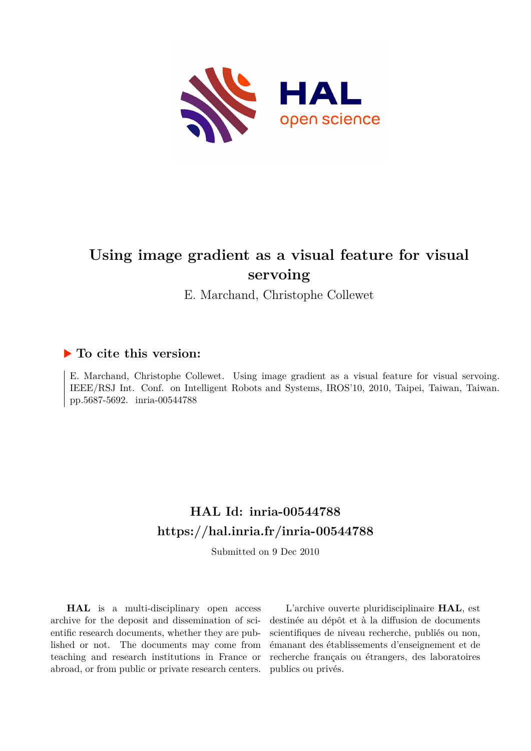

# **Using image gradient as a visual feature for visual servoing**

E. Marchand, Christophe Collewet

## **To cite this version:**

E. Marchand, Christophe Collewet. Using image gradient as a visual feature for visual servoing. IEEE/RSJ Int. Conf. on Intelligent Robots and Systems, IROS'10, 2010, Taipei, Taiwan, Taiwan. pp.5687-5692. inria-00544788

## **HAL Id: inria-00544788 <https://hal.inria.fr/inria-00544788>**

Submitted on 9 Dec 2010

**HAL** is a multi-disciplinary open access archive for the deposit and dissemination of scientific research documents, whether they are published or not. The documents may come from teaching and research institutions in France or abroad, or from public or private research centers.

L'archive ouverte pluridisciplinaire **HAL**, est destinée au dépôt et à la diffusion de documents scientifiques de niveau recherche, publiés ou non, émanant des établissements d'enseignement et de recherche français ou étrangers, des laboratoires publics ou privés.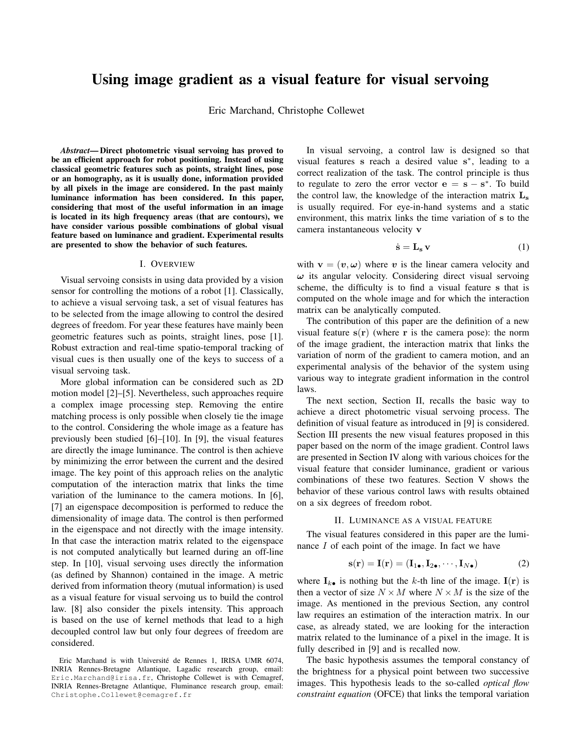### Using image gradient as a visual feature for visual servoing

Eric Marchand, Christophe Collewet

*Abstract*— Direct photometric visual servoing has proved to be an efficient approach for robot positioning. Instead of using classical geometric features such as points, straight lines, pose or an homography, as it is usually done, information provided by all pixels in the image are considered. In the past mainly luminance information has been considered. In this paper, considering that most of the useful information in an image is located in its high frequency areas (that are contours), we have consider various possible combinations of global visual feature based on luminance and gradient. Experimental results are presented to show the behavior of such features.

#### I. OVERVIEW

Visual servoing consists in using data provided by a vision sensor for controlling the motions of a robot [1]. Classically, to achieve a visual servoing task, a set of visual features has to be selected from the image allowing to control the desired degrees of freedom. For year these features have mainly been geometric features such as points, straight lines, pose [1]. Robust extraction and real-time spatio-temporal tracking of visual cues is then usually one of the keys to success of a visual servoing task.

More global information can be considered such as 2D motion model [2]–[5]. Nevertheless, such approaches require a complex image processing step. Removing the entire matching process is only possible when closely tie the image to the control. Considering the whole image as a feature has previously been studied [6]–[10]. In [9], the visual features are directly the image luminance. The control is then achieve by minimizing the error between the current and the desired image. The key point of this approach relies on the analytic computation of the interaction matrix that links the time variation of the luminance to the camera motions. In [6], [7] an eigenspace decomposition is performed to reduce the dimensionality of image data. The control is then performed in the eigenspace and not directly with the image intensity. In that case the interaction matrix related to the eigenspace is not computed analytically but learned during an off-line step. In [10], visual servoing uses directly the information (as defined by Shannon) contained in the image. A metric derived from information theory (mutual information) is used as a visual feature for visual servoing us to build the control law. [8] also consider the pixels intensity. This approach is based on the use of kernel methods that lead to a high decoupled control law but only four degrees of freedom are considered.

In visual servoing, a control law is designed so that visual features s reach a desired value s<sup>\*</sup>, leading to a correct realization of the task. The control principle is thus to regulate to zero the error vector  $\mathbf{e} = \mathbf{s} - \mathbf{s}^*$ . To build the control law, the knowledge of the interaction matrix  $L_s$ is usually required. For eye-in-hand systems and a static environment, this matrix links the time variation of s to the camera instantaneous velocity v

$$
\dot{\mathbf{s}} = \mathbf{L}_{\mathbf{s}} \mathbf{v} \tag{1}
$$

with  $\mathbf{v} = (\mathbf{v}, \boldsymbol{\omega})$  where v is the linear camera velocity and  $\omega$  its angular velocity. Considering direct visual servoing scheme, the difficulty is to find a visual feature s that is computed on the whole image and for which the interaction matrix can be analytically computed.

The contribution of this paper are the definition of a new visual feature  $s(r)$  (where r is the camera pose): the norm of the image gradient, the interaction matrix that links the variation of norm of the gradient to camera motion, and an experimental analysis of the behavior of the system using various way to integrate gradient information in the control laws.

The next section, Section II, recalls the basic way to achieve a direct photometric visual servoing process. The definition of visual feature as introduced in [9] is considered. Section III presents the new visual features proposed in this paper based on the norm of the image gradient. Control laws are presented in Section IV along with various choices for the visual feature that consider luminance, gradient or various combinations of these two features. Section V shows the behavior of these various control laws with results obtained on a six degrees of freedom robot.

#### II. LUMINANCE AS A VISUAL FEATURE

The visual features considered in this paper are the luminance  $I$  of each point of the image. In fact we have

$$
\mathbf{s}(\mathbf{r}) = \mathbf{I}(\mathbf{r}) = (\mathbf{I}_{1\bullet}, \mathbf{I}_{2\bullet}, \cdots, \mathbf{I}_{N\bullet})
$$
 (2)

where  $I_{k\bullet}$  is nothing but the k-th line of the image.  $I(r)$  is then a vector of size  $N \times M$  where  $N \times M$  is the size of the image. As mentioned in the previous Section, any control law requires an estimation of the interaction matrix. In our case, as already stated, we are looking for the interaction matrix related to the luminance of a pixel in the image. It is fully described in [9] and is recalled now.

The basic hypothesis assumes the temporal constancy of the brightness for a physical point between two successive images. This hypothesis leads to the so-called *optical flow constraint equation* (OFCE) that links the temporal variation

Eric Marchand is with Université de Rennes 1, IRISA UMR 6074, INRIA Rennes-Bretagne Atlantique, Lagadic research group, email: Eric.Marchand@irisa.fr, Christophe Collewet is with Cemagref, INRIA Rennes-Bretagne Atlantique, Fluminance research group, email: Christophe.Collewet@cemagref.fr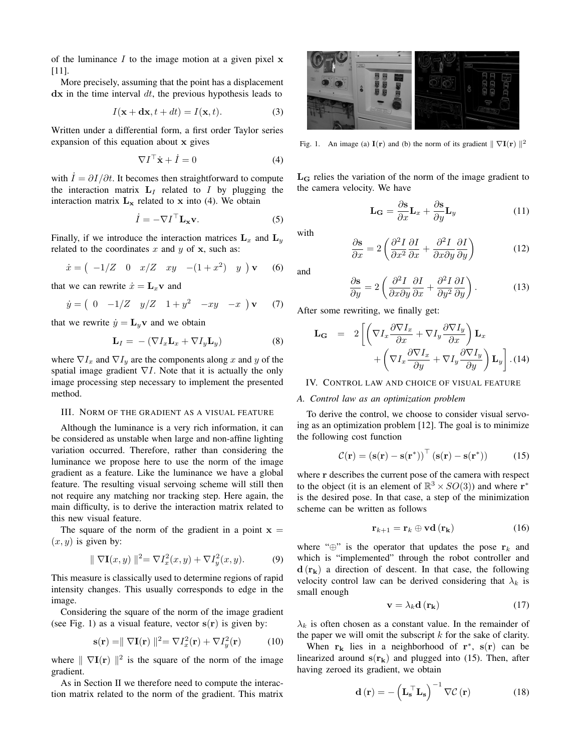of the luminance  $I$  to the image motion at a given pixel  $x$ [11].

More precisely, assuming that the point has a displacement  $dx$  in the time interval  $dt$ , the previous hypothesis leads to

$$
I(\mathbf{x} + \mathbf{dx}, t + dt) = I(\mathbf{x}, t).
$$
 (3)

Written under a differential form, a first order Taylor series expansion of this equation about x gives

$$
\nabla I^{\top} \dot{\mathbf{x}} + \dot{I} = 0 \tag{4}
$$

with  $I = \partial I / \partial t$ . It becomes then straightforward to compute the interaction matrix  $L_I$  related to I by plugging the interaction matrix  $L_x$  related to x into (4). We obtain

$$
\dot{I} = -\nabla I^{\top} \mathbf{L}_{\mathbf{x}} \mathbf{v}.
$$
 (5)

Finally, if we introduce the interaction matrices  $L_x$  and  $L_y$ related to the coordinates  $x$  and  $y$  of  $x$ , such as:

$$
\dot{x} = ( -1/Z \quad 0 \quad x/Z \quad xy \quad -(1+x^2) \quad y \quad ) \mathbf{v} \tag{6}
$$

that we can rewrite  $\dot{x} = \mathbf{L}_x \mathbf{v}$  and

$$
\dot{y} = \begin{pmatrix} 0 & -1/Z & y/Z & 1 + y^2 & -xy & -x \end{pmatrix} \mathbf{v}
$$
 (7)

that we rewrite  $\dot{y} = \mathbf{L}_y \mathbf{v}$  and we obtain

$$
\mathbf{L}_I = -(\nabla I_x \mathbf{L}_x + \nabla I_y \mathbf{L}_y) \tag{8}
$$

where  $\nabla I_x$  and  $\nabla I_y$  are the components along x and y of the spatial image gradient  $\nabla I$ . Note that it is actually the only image processing step necessary to implement the presented method.

#### III. NORM OF THE GRADIENT AS A VISUAL FEATURE

Although the luminance is a very rich information, it can be considered as unstable when large and non-affine lighting variation occurred. Therefore, rather than considering the luminance we propose here to use the norm of the image gradient as a feature. Like the luminance we have a global feature. The resulting visual servoing scheme will still then not require any matching nor tracking step. Here again, the main difficulty, is to derive the interaction matrix related to this new visual feature.

The square of the norm of the gradient in a point  $x =$  $(x, y)$  is given by:

$$
\|\nabla \mathbf{I}(x, y)\|^2 = \nabla I_x^2(x, y) + \nabla I_y^2(x, y). \tag{9}
$$

This measure is classically used to determine regions of rapid intensity changes. This usually corresponds to edge in the image.

Considering the square of the norm of the image gradient (see Fig. 1) as a visual feature, vector  $s(r)$  is given by:

$$
\mathbf{s}(\mathbf{r}) = ||\nabla \mathbf{I}(\mathbf{r})||^2 = \nabla I_x^2(\mathbf{r}) + \nabla I_y^2(\mathbf{r}) \tag{10}
$$

where  $\| \nabla I(r) \|^{2}$  is the square of the norm of the image gradient.

As in Section II we therefore need to compute the interaction matrix related to the norm of the gradient. This matrix



Fig. 1. An image (a)  $I(r)$  and (b) the norm of its gradient  $|| \nabla I(r) ||^2$ 

L<sub>G</sub> relies the variation of the norm of the image gradient to the camera velocity. We have

$$
\mathbf{L}_{\mathbf{G}} = \frac{\partial \mathbf{s}}{\partial x} \mathbf{L}_x + \frac{\partial \mathbf{s}}{\partial y} \mathbf{L}_y \tag{11}
$$

with

$$
\frac{\partial \mathbf{s}}{\partial x} = 2 \left( \frac{\partial^2 I}{\partial x^2} \frac{\partial I}{\partial x} + \frac{\partial^2 I}{\partial x \partial y} \frac{\partial I}{\partial y} \right) \tag{12}
$$

and

$$
\frac{\partial \mathbf{s}}{\partial y} = 2 \left( \frac{\partial^2 I}{\partial x \partial y} \frac{\partial I}{\partial x} + \frac{\partial^2 I}{\partial y^2} \frac{\partial I}{\partial y} \right). \tag{13}
$$

After some rewriting, we finally get:

$$
\mathbf{L}_{\mathbf{G}} = 2\left[ \left( \nabla I_x \frac{\partial \nabla I_x}{\partial x} + \nabla I_y \frac{\partial \nabla I_y}{\partial x} \right) \mathbf{L}_x + \left( \nabla I_x \frac{\partial \nabla I_x}{\partial y} + \nabla I_y \frac{\partial \nabla I_y}{\partial y} \right) \mathbf{L}_y \right]. (14)
$$

IV. CONTROL LAW AND CHOICE OF VISUAL FEATURE

#### *A. Control law as an optimization problem*

To derive the control, we choose to consider visual servoing as an optimization problem [12]. The goal is to minimize the following cost function

$$
\mathcal{C}(\mathbf{r}) = (\mathbf{s}(\mathbf{r}) - \mathbf{s}(\mathbf{r}^*))^{\top} (\mathbf{s}(\mathbf{r}) - \mathbf{s}(\mathbf{r}^*))
$$
 (15)

where r describes the current pose of the camera with respect to the object (it is an element of  $\mathbb{R}^3 \times SO(3)$ ) and where  $\mathbf{r}^*$ is the desired pose. In that case, a step of the minimization scheme can be written as follows

$$
\mathbf{r}_{k+1} = \mathbf{r}_k \oplus \mathbf{v}\mathbf{d}(\mathbf{r}_k) \tag{16}
$$

where " $\oplus$ " is the operator that updates the pose  $r_k$  and which is "implemented" through the robot controller and  $d(r_k)$  a direction of descent. In that case, the following velocity control law can be derived considering that  $\lambda_k$  is small enough

$$
\mathbf{v} = \lambda_k \mathbf{d} \left( \mathbf{r}_k \right) \tag{17}
$$

 $\lambda_k$  is often chosen as a constant value. In the remainder of the paper we will omit the subscript  $k$  for the sake of clarity.

When  $r_k$  lies in a neighborhood of  $r^*$ ,  $s(r)$  can be linearized around  $s(r_k)$  and plugged into (15). Then, after having zeroed its gradient, we obtain

$$
\mathbf{d}\left(\mathbf{r}\right) = -\left(\mathbf{L}_{\mathbf{s}}^{\top}\mathbf{L}_{\mathbf{s}}\right)^{-1}\nabla\mathcal{C}\left(\mathbf{r}\right) \tag{18}
$$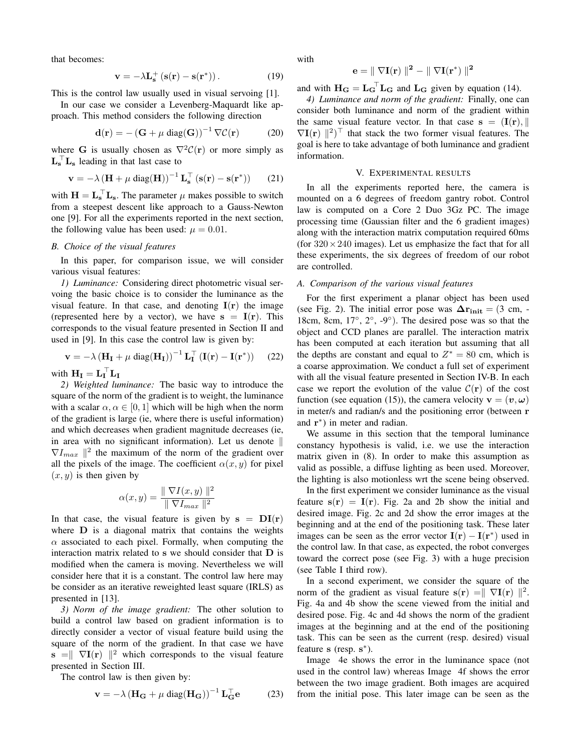that becomes:

$$
\mathbf{v} = -\lambda \mathbf{L}_\mathbf{s}^+ \left( \mathbf{s}(\mathbf{r}) - \mathbf{s}(\mathbf{r}^*) \right). \tag{19}
$$

This is the control law usually used in visual servoing [1].

In our case we consider a Levenberg-Maquardt like approach. This method considers the following direction

$$
\mathbf{d}(\mathbf{r}) = -(\mathbf{G} + \mu \operatorname{diag}(\mathbf{G}))^{-1} \nabla \mathcal{C}(\mathbf{r}) \tag{20}
$$

where G is usually chosen as  $\nabla^2 C(\mathbf{r})$  or more simply as  $\mathbf{L}_s^{\top} \mathbf{L}_s$  leading in that last case to

$$
\mathbf{v} = -\lambda \left( \mathbf{H} + \mu \operatorname{diag}(\mathbf{H}) \right)^{-1} \mathbf{L}_{\mathbf{s}}^{\top} \left( \mathbf{s}(\mathbf{r}) - \mathbf{s}(\mathbf{r}^*) \right) \tag{21}
$$

with  $H = L_s^{\top}L_s$ . The parameter  $\mu$  makes possible to switch from a steepest descent like approach to a Gauss-Newton one [9]. For all the experiments reported in the next section, the following value has been used:  $\mu = 0.01$ .

#### *B. Choice of the visual features*

In this paper, for comparison issue, we will consider various visual features:

*1) Luminance:* Considering direct photometric visual servoing the basic choice is to consider the luminance as the visual feature. In that case, and denoting  $I(r)$  the image (represented here by a vector), we have  $s = I(r)$ . This corresponds to the visual feature presented in Section II and used in [9]. In this case the control law is given by:

$$
\mathbf{v} = -\lambda \left( \mathbf{H}_{\mathbf{I}} + \mu \operatorname{diag}(\mathbf{H}_{\mathbf{I}}) \right)^{-1} \mathbf{L}_{\mathbf{I}}^{\top} \left( \mathbf{I}(\mathbf{r}) - \mathbf{I}(\mathbf{r}^*) \right) \tag{22}
$$

with  $\mathbf{H}_{\mathbf{I}} = \mathbf{L}_{\mathbf{I}}^{\top} \mathbf{L}_{\mathbf{I}}$ 

*2) Weighted luminance:* The basic way to introduce the square of the norm of the gradient is to weight, the luminance with a scalar  $\alpha, \alpha \in [0, 1]$  which will be high when the norm of the gradient is large (ie, where there is useful information) and which decreases when gradient magnitude decreases (ie, in area with no significant information). Let us denote  $\parallel$  $\nabla I_{max}$  ||<sup>2</sup> the maximum of the norm of the gradient over all the pixels of the image. The coefficient  $\alpha(x, y)$  for pixel  $(x, y)$  is then given by

$$
\alpha(x, y) = \frac{\| \nabla I(x, y) \|^2}{\| \nabla I_{max} \|^2}
$$

In that case, the visual feature is given by  $s = DI(r)$ where **D** is a diagonal matrix that contains the weights  $\alpha$  associated to each pixel. Formally, when computing the interaction matrix related to s we should consider that D is modified when the camera is moving. Nevertheless we will consider here that it is a constant. The control law here may be consider as an iterative reweighted least square (IRLS) as presented in [13].

*3) Norm of the image gradient:* The other solution to build a control law based on gradient information is to directly consider a vector of visual feature build using the square of the norm of the gradient. In that case we have  $\mathbf{s} = ||\nabla \mathbf{I}(\mathbf{r})||^2$  which corresponds to the visual feature presented in Section III.

The control law is then given by:

$$
\mathbf{v} = -\lambda \left( \mathbf{H}_{\mathbf{G}} + \mu \operatorname{diag}(\mathbf{H}_{\mathbf{G}}) \right)^{-1} \mathbf{L}_{\mathbf{G}}^{\top} \mathbf{e}
$$
 (23)

with

$$
e = \parallel \nabla I(r) \parallel^2 - \parallel \nabla I(r^*) \parallel^2
$$

and with  $H_G = L_G^{\top} L_G$  and  $L_G$  given by equation (14).

*4) Luminance and norm of the gradient:* Finally, one can consider both luminance and norm of the gradient within the same visual feature vector. In that case  $s = (I(r), \|$  $\nabla I(\mathbf{r})$   $\|^2$ )<sup> $\top$ </sup> that stack the two former visual features. The goal is here to take advantage of both luminance and gradient information.

#### V. EXPERIMENTAL RESULTS

In all the experiments reported here, the camera is mounted on a 6 degrees of freedom gantry robot. Control law is computed on a Core 2 Duo 3Gz PC. The image processing time (Gaussian filter and the 6 gradient images) along with the interaction matrix computation required 60ms (for  $320 \times 240$  images). Let us emphasize the fact that for all these experiments, the six degrees of freedom of our robot are controlled.

#### *A. Comparison of the various visual features*

For the first experiment a planar object has been used (see Fig. 2). The initial error pose was  $\Delta r_{\text{init}} = (3 \text{ cm}, -1)$ 18cm, 8cm, 17°, 2°, -9°). The desired pose was so that the object and CCD planes are parallel. The interaction matrix has been computed at each iteration but assuming that all the depths are constant and equal to  $Z^* = 80$  cm, which is a coarse approximation. We conduct a full set of experiment with all the visual feature presented in Section IV-B. In each case we report the evolution of the value  $\mathcal{C}(\mathbf{r})$  of the cost function (see equation (15)), the camera velocity  $\mathbf{v} = (\mathbf{v}, \boldsymbol{\omega})$ in meter/s and radian/s and the positioning error (between r and r<sup>\*</sup>) in meter and radian.

We assume in this section that the temporal luminance constancy hypothesis is valid, i.e. we use the interaction matrix given in (8). In order to make this assumption as valid as possible, a diffuse lighting as been used. Moreover, the lighting is also motionless wrt the scene being observed.

In the first experiment we consider luminance as the visual feature  $s(r) = I(r)$ . Fig. 2a and 2b show the initial and desired image. Fig. 2c and 2d show the error images at the beginning and at the end of the positioning task. These later images can be seen as the error vector  $I(r) - I(r^*)$  used in the control law. In that case, as expected, the robot converges toward the correct pose (see Fig. 3) with a huge precision (see Table I third row).

In a second experiment, we consider the square of the norm of the gradient as visual feature  $s(r) = || \nabla I(r) ||^2$ . Fig. 4a and 4b show the scene viewed from the initial and desired pose. Fig. 4c and 4d shows the norm of the gradient images at the beginning and at the end of the positioning task. This can be seen as the current (resp. desired) visual feature s (resp. s<sup>\*</sup>).

Image 4e shows the error in the luminance space (not used in the control law) whereas Image 4f shows the error between the two image gradient. Both images are acquired from the initial pose. This later image can be seen as the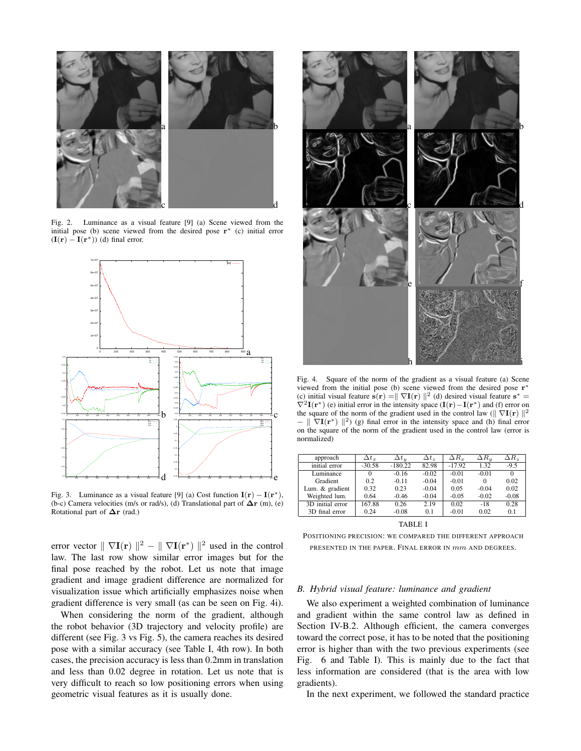

Fig. 2. Luminance as a visual feature [9] (a) Scene viewed from the initial pose (b) scene viewed from the desired pose  $\mathbf{r}^*$  (c) initial error  $(I(\mathbf{r}) - I(\mathbf{r}^*))$  (d) final error.



Fig. 3. Luminance as a visual feature [9] (a) Cost function  $I(r) - I(r^*)$ , (b-c) Camera velocities (m/s or rad/s), (d) Translational part of ∆r (m), (e) Rotational part of  $\Delta$ r (rad.)

error vector  $||\nabla I(r)||^2 - ||\nabla I(r^*)||^2$  used in the control law. The last row show similar error images but for the final pose reached by the robot. Let us note that image gradient and image gradient difference are normalized for visualization issue which artificially emphasizes noise when gradient difference is very small (as can be seen on Fig. 4i).

When considering the norm of the gradient, although the robot behavior (3D trajectory and velocity profile) are different (see Fig. 3 vs Fig. 5), the camera reaches its desired pose with a similar accuracy (see Table I, 4th row). In both cases, the precision accuracy is less than 0.2mm in translation and less than 0.02 degree in rotation. Let us note that is very difficult to reach so low positioning errors when using geometric visual features as it is usually done.



 $\frac{P}{P}$   $\frac{Q}{P}$   $\frac{Q}{P}$   $\frac{Q}{P}$   $\frac{Q}{P}$  the square of the norm of the gradient used in the control law ( $\frac{Q}{Q}$ [r)  $\frac{Q}{Q}$  $\mathbb{E}$  =  $\mathbb{E}$   $\mathbb{E}$  =  $\mathbb{E}$   $\nabla$ **I**(r<sup>\*</sup>)  $\mathbb{E}$  2) (g) final error in the intensity space and (h) final error Fig. 4. Square of the norm of the gradient as a visual feature (a) Scene viewed from the initial pose (b) scene viewed from the desired pose r<sup>\*</sup> (c) initial visual feature  $\mathbf{s}(\mathbf{r}) = ||\nabla \mathbf{I}(\mathbf{r})||^2$  (d) desired visual feature  $\mathbf{s}^* =$  $\nabla^2 \mathbf{I}(\mathbf{r}^*)$  (e) initial error in the intensity space  $(\mathbf{I}(\mathbf{r}) - \mathbf{I}(\mathbf{r}^*)$  and (f) error on on the square of the norm of the gradient used in the control law (error is normalized)

| approach         | $\Delta t$ $_{r}$ | $\Delta t_u$ | $\Delta t_z$ | $\Delta R_{\it \scriptscriptstyle T}$ | $\Delta R_u$ | $\Delta R_z$ |
|------------------|-------------------|--------------|--------------|---------------------------------------|--------------|--------------|
| initial error    | $-30.58$          | $-180.22$    | 82.98        | $-17.92$                              | 1.32         | $-9.5$       |
| Luminance        | $\Omega$          | $-0.16$      | $-0.02$      | $-0.01$                               | $-0.01$      | $\Omega$     |
| Gradient         | 0.2               | $-0.11$      | $-0.04$      | $-0.01$                               | $\Omega$     | 0.02         |
| Lum. & gradient  | 0.32              | 0.23         | $-0.04$      | 0.05                                  | $-0.04$      | 0.02         |
| Weighted lum.    | 0.64              | $-0.46$      | $-0.04$      | $-0.05$                               | $-0.02$      | $-0.08$      |
| 3D initial error | 167.88            | 0.26         | 2.19         | 0.02                                  | $-18$        | 0.28         |
| 3D final error   | 0.24              | $-0.08$      | 0.1          | $-0.01$                               | 0.02         | 0.1          |

TABLE I

POSITIONING PRECISION: WE COMPARED THE DIFFERENT APPROACH PRESENTED IN THE PAPER. FINAL ERROR IN  $mm$  and degrees.

#### *B. Hybrid visual feature: luminance and gradient*

We also experiment a weighted combination of luminance and gradient within the same control law as defined in Section IV-B.2. Although efficient, the camera converges toward the correct pose, it has to be noted that the positioning error is higher than with the two previous experiments (see Fig. 6 and Table I). This is mainly due to the fact that less information are considered (that is the area with low gradients).

In the next experiment, we followed the standard practice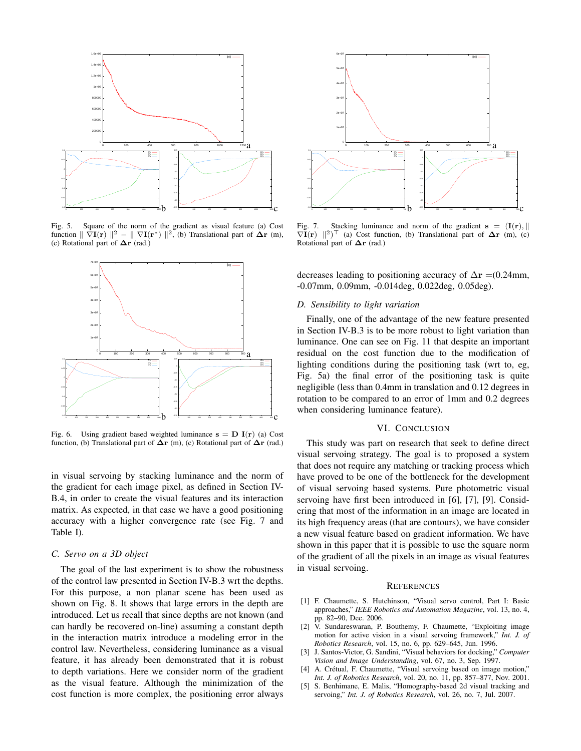

Fig. 5. Square of the norm of the gradient as visual feature (a) Cost function  $\|\nabla I(r)\|^2 - \|\nabla I(r^*)\|^2$ , (b) Translational part of  $\Delta r$  (m), (c) Rotational part of  $\Delta$ r (rad.)



Fig. 6. Using gradient based weighted luminance  $s = D I(r)$  (a) Cost function, (b) Translational part of  $\Delta$ r (m), (c) Rotational part of  $\Delta$ r (rad.)

in visual servoing by stacking luminance and the norm of the gradient for each image pixel, as defined in Section IV-B.4, in order to create the visual features and its interaction matrix. As expected, in that case we have a good positioning accuracy with a higher convergence rate (see Fig. 7 and Table I).

#### *C. Servo on a 3D object*

The goal of the last experiment is to show the robustness of the control law presented in Section IV-B.3 wrt the depths. For this purpose, a non planar scene has been used as shown on Fig. 8. It shows that large errors in the depth are introduced. Let us recall that since depths are not known (and can hardly be recovered on-line) assuming a constant depth in the interaction matrix introduce a modeling error in the control law. Nevertheless, considering luminance as a visual feature, it has already been demonstrated that it is robust to depth variations. Here we consider norm of the gradient as the visual feature. Although the minimization of the cost function is more complex, the positioning error always



Fig. 7. Stacking luminance and norm of the gradient  $s = (I(r), ||)$  $\nabla$ **I**(r)  $\|^{2}$ )<sup>T</sup> (a) Cost function, (b) Translational part of  $\Delta$ r (m), (c) Rotational part of  $\Delta$ r (rad.)

decreases leading to positioning accuracy of  $\Delta r = (0.24$ mm, -0.07mm, 0.09mm, -0.014deg, 0.022deg, 0.05deg).

#### *D. Sensibility to light variation*

ighting conditions during the positioning task (wrt to, eg, Finally, one of the advantage of the new feature presented in Section IV-B.3 is to be more robust to light variation than luminance. One can see on Fig. 11 that despite an important residual on the cost function due to the modification of Fig. 5a) the final error of the positioning task is quite negligible (less than 0.4mm in translation and 0.12 degrees in rotation to be compared to an error of 1mm and 0.2 degrees when considering luminance feature).

#### VI. CONCLUSION

This study was part on research that seek to define direct visual servoing strategy. The goal is to proposed a system that does not require any matching or tracking process which have proved to be one of the bottleneck for the development of visual servoing based systems. Pure photometric visual servoing have first been introduced in [6], [7], [9]. Considering that most of the information in an image are located in its high frequency areas (that are contours), we have consider a new visual feature based on gradient information. We have shown in this paper that it is possible to use the square norm of the gradient of all the pixels in an image as visual features in visual servoing.

#### **REFERENCES**

- [1] F. Chaumette, S. Hutchinson, "Visual servo control, Part I: Basic approaches," *IEEE Robotics and Automation Magazine*, vol. 13, no. 4, pp. 82–90, Dec. 2006.
- [2] V. Sundareswaran, P. Bouthemy, F. Chaumette, "Exploiting image motion for active vision in a visual servoing framework," *Int. J. of Robotics Research*, vol. 15, no. 6, pp. 629–645, Jun. 1996.
- [3] J. Santos-Victor, G. Sandini, "Visual behaviors for docking," *Computer Vision and Image Understanding*, vol. 67, no. 3, Sep. 1997.
- [4] A. Crétual, F. Chaumette, "Visual servoing based on image motion," *Int. J. of Robotics Research*, vol. 20, no. 11, pp. 857–877, Nov. 2001.
- [5] S. Benhimane, E. Malis, "Homography-based 2d visual tracking and servoing," *Int. J. of Robotics Research*, vol. 26, no. 7, Jul. 2007.